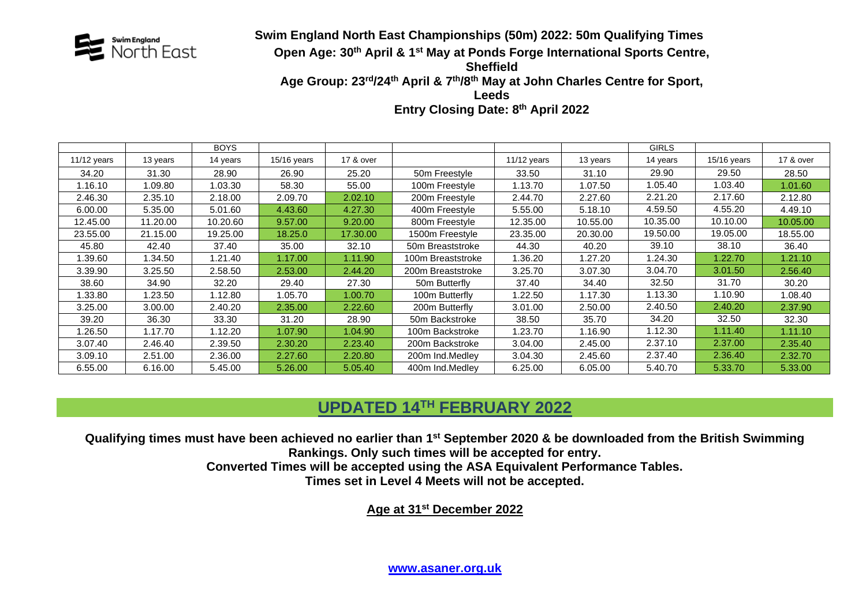

### **Swim England North East Championships (50m) 2022: 50m Qualifying Times Open Age: 30th April & 1 st May at Ponds Forge International Sports Centre, Sheffield** Age Group: 23<sup>rd</sup>/24<sup>th</sup> April & 7<sup>th</sup>/8<sup>th</sup> May at John Charles Centre for Sport, **Leeds**

**Entry Closing Date: 8 th April 2022**

|               |          | <b>BOYS</b> |             |           |                   |             |          | <b>GIRLS</b> |               |           |
|---------------|----------|-------------|-------------|-----------|-------------------|-------------|----------|--------------|---------------|-----------|
| $11/12$ years | 13 years | 14 years    | 15/16 years | 17 & over |                   | 11/12 years | 13 years | 14 years     | $15/16$ years | 17 & over |
| 34.20         | 31.30    | 28.90       | 26.90       | 25.20     | 50m Freestyle     | 33.50       | 31.10    | 29.90        | 29.50         | 28.50     |
| 1.16.10       | 1.09.80  | 1.03.30     | 58.30       | 55.00     | 100m Freestyle    | 1.13.70     | 1.07.50  | 1.05.40      | 1.03.40       | 1.01.60   |
| 2.46.30       | 2.35.10  | 2.18.00     | 2.09.70     | 2.02.10   | 200m Freestyle    | 2.44.70     | 2.27.60  | 2.21.20      | 2.17.60       | 2.12.80   |
| 6.00.00       | 5.35.00  | 5.01.60     | 4.43.60     | 4.27.30   | 400m Freestyle    | 5.55.00     | 5.18.10  | 4.59.50      | 4.55.20       | 4.49.10   |
| 12.45.00      | 11.20.00 | 10.20.60    | 9.57.00     | 9.20.00   | 800m Freestyle    | 12.35.00    | 10.55.00 | 10.35.00     | 10.10.00      | 10.05.00  |
| 23.55.00      | 21.15.00 | 19.25.00    | 18.25.0     | 17.30.00  | 1500m Freestyle   | 23.35.00    | 20.30.00 | 19.50.00     | 19.05.00      | 18.55.00  |
| 45.80         | 42.40    | 37.40       | 35.00       | 32.10     | 50m Breaststroke  | 44.30       | 40.20    | 39.10        | 38.10         | 36.40     |
| 1.39.60       | .34.50   | 1.21.40     | 1.17.00     | 1.11.90   | 100m Breaststroke | 1.36.20     | 1.27.20  | 1.24.30      | 1.22.70       | 1.21.10   |
| 3.39.90       | 3.25.50  | 2.58.50     | 2.53.00     | 2.44.20   | 200m Breaststroke | 3.25.70     | 3.07.30  | 3.04.70      | 3.01.50       | 2.56.40   |
| 38.60         | 34.90    | 32.20       | 29.40       | 27.30     | 50m Butterfly     | 37.40       | 34.40    | 32.50        | 31.70         | 30.20     |
| 1.33.80       | .23.50   | 1.12.80     | 1.05.70     | 1.00.70   | 100m Butterfly    | 1.22.50     | 1.17.30  | 1.13.30      | 1.10.90       | 1.08.40   |
| 3.25.00       | 3.00.00  | 2.40.20     | 2.35.00     | 2.22.60   | 200m Butterfly    | 3.01.00     | 2.50.00  | 2.40.50      | 2.40.20       | 2.37.90   |
| 39.20         | 36.30    | 33.30       | 31.20       | 28.90     | 50m Backstroke    | 38.50       | 35.70    | 34.20        | 32.50         | 32.30     |
| 1.26.50       | 1.17.70  | 1.12.20     | 1.07.90     | 1.04.90   | 100m Backstroke   | 1.23.70     | 1.16.90  | 1.12.30      | 1.11.40       | 1.11.10   |
| 3.07.40       | 2.46.40  | 2.39.50     | 2.30.20     | 2.23.40   | 200m Backstroke   | 3.04.00     | 2.45.00  | 2.37.10      | 2.37.00       | 2.35.40   |
| 3.09.10       | 2.51.00  | 2.36.00     | 2.27.60     | 2.20.80   | 200m Ind.Medley   | 3.04.30     | 2.45.60  | 2.37.40      | 2.36.40       | 2.32.70   |
| 6.55.00       | 6.16.00  | 5.45.00     | 5.26.00     | 5.05.40   | 400m Ind.Medlev   | 6.25.00     | 6.05.00  | 5.40.70      | 5.33.70       | 5.33.00   |

## **UPDATED 14TH FEBRUARY 2022**

**Qualifying times must have been achieved no earlier than 1 st September 2020 & be downloaded from the British Swimming Rankings. Only such times will be accepted for entry.**

**Converted Times will be accepted using the ASA Equivalent Performance Tables.**

**Times set in Level 4 Meets will not be accepted.**

**Age at 31st December 2022**

**[www.asaner.org.uk](http://www.asaner.org.uk/)**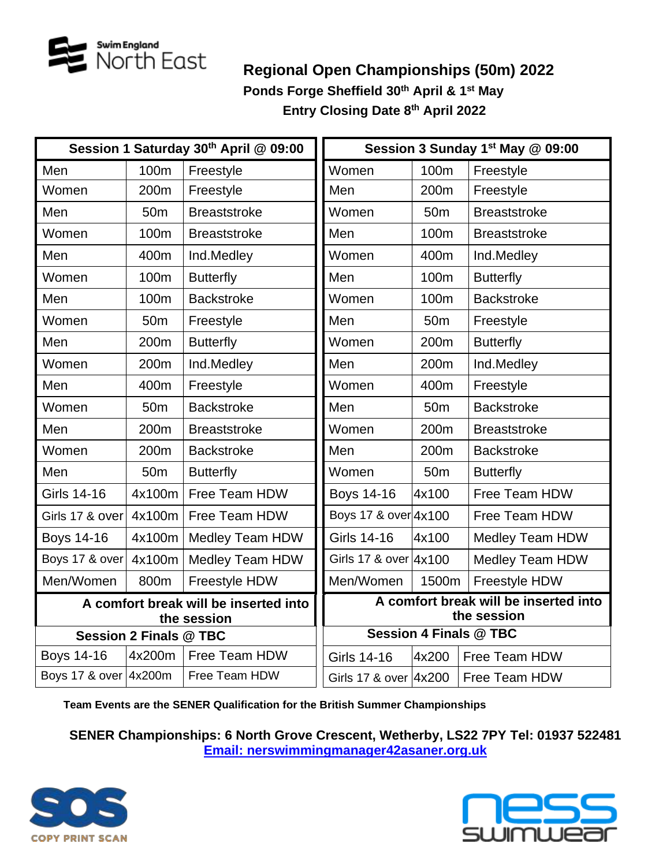

# **Regional Open Championships (50m) 2022 Ponds Forge Sheffield 30th April & 1 st May Entry Closing Date 8 th April 2022**

|                           |                               | Session 1 Saturday 30th April @ 09:00                | Session 3 Sunday 1st May @ 09:00                     |                 |                        |  |
|---------------------------|-------------------------------|------------------------------------------------------|------------------------------------------------------|-----------------|------------------------|--|
| Men                       | 100m                          | Freestyle                                            | Women                                                | 100m            | Freestyle              |  |
| Women                     | 200m                          | Freestyle                                            | Men                                                  | 200m            | Freestyle              |  |
| Men                       | 50 <sub>m</sub>               | <b>Breaststroke</b>                                  | Women                                                | 50 <sub>m</sub> | <b>Breaststroke</b>    |  |
| Women                     | 100m                          | <b>Breaststroke</b>                                  | Men                                                  | 100m            | <b>Breaststroke</b>    |  |
| Men                       | 400m                          | Ind.Medley                                           | Women                                                | 400m            | Ind.Medley             |  |
| Women                     | 100m                          | <b>Butterfly</b>                                     | Men                                                  | 100m            | <b>Butterfly</b>       |  |
| Men                       | 100m                          | <b>Backstroke</b>                                    | Women                                                | 100m            | <b>Backstroke</b>      |  |
| Women                     | 50 <sub>m</sub>               | Freestyle                                            | Men                                                  | 50 <sub>m</sub> | Freestyle              |  |
| Men                       | 200m                          | <b>Butterfly</b>                                     | Women                                                | 200m            | <b>Butterfly</b>       |  |
| Women                     | 200m                          | Ind.Medley                                           | Men                                                  | 200m            | Ind.Medley             |  |
| Men                       | 400m                          | Freestyle                                            | Women                                                | 400m            | Freestyle              |  |
| Women                     | 50 <sub>m</sub>               | <b>Backstroke</b>                                    | Men                                                  | 50 <sub>m</sub> | <b>Backstroke</b>      |  |
| Men                       | 200m                          | <b>Breaststroke</b>                                  | Women                                                | 200m            | <b>Breaststroke</b>    |  |
| Women                     | 200m                          | <b>Backstroke</b>                                    | Men                                                  | 200m            | <b>Backstroke</b>      |  |
| Men                       | 50 <sub>m</sub>               | <b>Butterfly</b>                                     | Women                                                | 50 <sub>m</sub> | <b>Butterfly</b>       |  |
| <b>Girls 14-16</b>        | 4x100m                        | Free Team HDW                                        | <b>Boys 14-16</b>                                    | 4x100           | Free Team HDW          |  |
| 4x100m<br>Girls 17 & over |                               | Free Team HDW                                        | Boys 17 & over 4x100                                 |                 | Free Team HDW          |  |
| <b>Boys 14-16</b>         | 4x100m                        | <b>Medley Team HDW</b>                               | Girls 14-16                                          | 4x100           | <b>Medley Team HDW</b> |  |
| Boys 17 & over            | 4x100m                        | <b>Medley Team HDW</b>                               | Girls 17 & over 4x100                                |                 | <b>Medley Team HDW</b> |  |
| Men/Women                 | 800m                          | Freestyle HDW                                        | Men/Women                                            | 1500m           | Freestyle HDW          |  |
|                           |                               | A comfort break will be inserted into<br>the session | A comfort break will be inserted into<br>the session |                 |                        |  |
|                           | <b>Session 2 Finals @ TBC</b> |                                                      | <b>Session 4 Finals @ TBC</b>                        |                 |                        |  |
| Boys 14-16                | 4x200m                        | Free Team HDW                                        | <b>Girls 14-16</b>                                   | 4x200           | Free Team HDW          |  |
| Boys 17 & over 4x200m     |                               | Free Team HDW                                        | Girls 17 & over 4x200                                |                 | Free Team HDW          |  |

**Team Events are the SENER Qualification for the British Summer Championships**

**SENER Championships: 6 North Grove Crescent, Wetherby, LS22 7PY Tel: 01937 522481 [Email: nerswimmingmanager42asaner.org.uk](mailto:Email:%20SwimBarry42@gmail.com)**